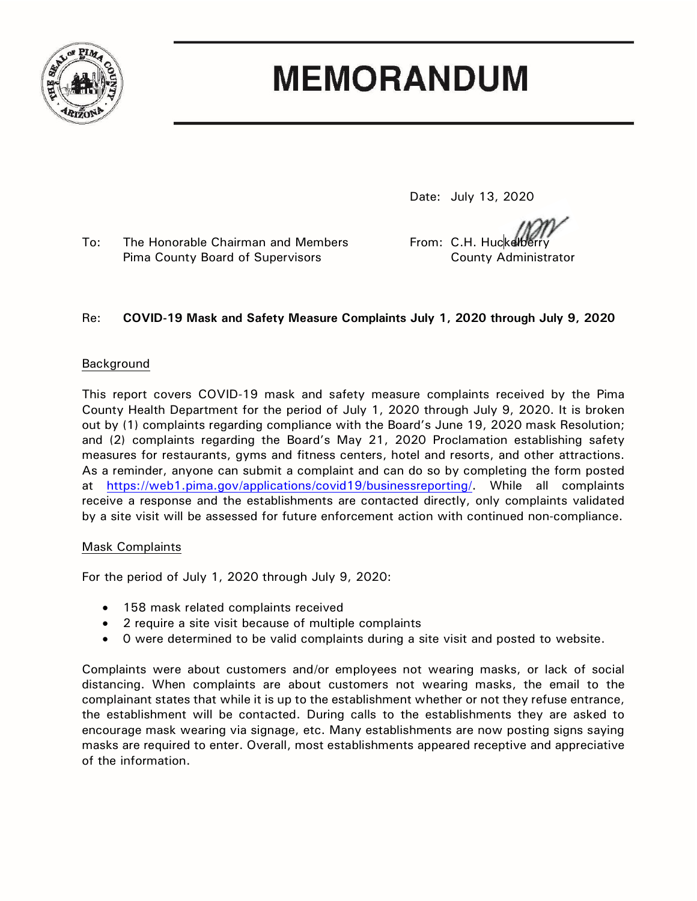

# **MEMORANDUM**

Date: July 13, 2020

To: The Honorable Chairman and Members From: C.H. Huckelberry Pima County Board of Supervisors County Administrator

# Re: **COVID-19 Mask and Safety Measure Complaints July 1, 2020 through July 9, 2020**

## Background

This report covers COVID-19 mask and safety measure complaints received by the Pima County Health Department for the period of July 1, 2020 through July 9, 2020. It is broken out by (1) complaints regarding compliance with the Board's June 19, 2020 mask Resolution; and (2) complaints regarding the Board's May 21, 2020 Proclamation establishing safety measures for restaurants, gyms and fitness centers, hotel and resorts, and other attractions. As a reminder, anyone can submit a complaint and can do so by completing the form posted at [https://web1.pima.gov/applications/covid19/businessreporting/.](https://web1.pima.gov/applications/covid19/businessreporting/) While all complaints receive a response and the establishments are contacted directly, only complaints validated by a site visit will be assessed for future enforcement action with continued non-compliance.

# Mask Complaints

For the period of July 1, 2020 through July 9, 2020:

- 158 mask related complaints received
- 2 require a site visit because of multiple complaints
- 0 were determined to be valid complaints during a site visit and posted to website.

Complaints were about customers and/or employees not wearing masks, or lack of social distancing. When complaints are about customers not wearing masks, the email to the complainant states that while it is up to the establishment whether or not they refuse entrance, the establishment will be contacted. During calls to the establishments they are asked to encourage mask wearing via signage, etc. Many establishments are now posting signs saying masks are required to enter. Overall, most establishments appeared receptive and appreciative of the information.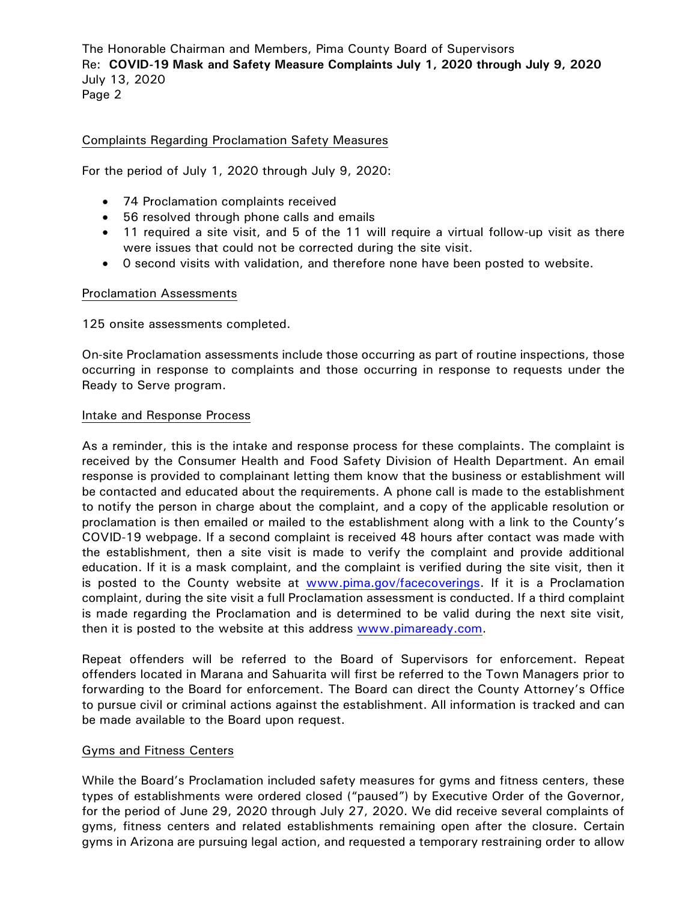The Honorable Chairman and Members, Pima County Board of Supervisors Re: **COVID-19 Mask and Safety Measure Complaints July 1, 2020 through July 9, 2020** July 13, 2020 Page 2

## Complaints Regarding Proclamation Safety Measures

For the period of July 1, 2020 through July 9, 2020:

- 74 Proclamation complaints received
- 56 resolved through phone calls and emails
- 11 required a site visit, and 5 of the 11 will require a virtual follow-up visit as there were issues that could not be corrected during the site visit.
- 0 second visits with validation, and therefore none have been posted to website.

#### Proclamation Assessments

125 onsite assessments completed.

On-site Proclamation assessments include those occurring as part of routine inspections, those occurring in response to complaints and those occurring in response to requests under the Ready to Serve program.

#### Intake and Response Process

As a reminder, this is the intake and response process for these complaints. The complaint is received by the Consumer Health and Food Safety Division of Health Department. An email response is provided to complainant letting them know that the business or establishment will be contacted and educated about the requirements. A phone call is made to the establishment to notify the person in charge about the complaint, and a copy of the applicable resolution or proclamation is then emailed or mailed to the establishment along with a link to the County's COVID-19 webpage. If a second complaint is received 48 hours after contact was made with the establishment, then a site visit is made to verify the complaint and provide additional education. If it is a mask complaint, and the complaint is verified during the site visit, then it is posted to the County website at [www.pima.gov/facecoverings.](http://www.pima.gov/facecoverings) If it is a Proclamation complaint, during the site visit a full Proclamation assessment is conducted. If a third complaint is made regarding the Proclamation and is determined to be valid during the next site visit, then it is posted to the website at this address [www.pimaready.com.](http://www.pimaready.com/)

Repeat offenders will be referred to the Board of Supervisors for enforcement. Repeat offenders located in Marana and Sahuarita will first be referred to the Town Managers prior to forwarding to the Board for enforcement. The Board can direct the County Attorney's Office to pursue civil or criminal actions against the establishment. All information is tracked and can be made available to the Board upon request.

#### Gyms and Fitness Centers

While the Board's Proclamation included safety measures for gyms and fitness centers, these types of establishments were ordered closed ("paused") by Executive Order of the Governor, for the period of June 29, 2020 through July 27, 2020. We did receive several complaints of gyms, fitness centers and related establishments remaining open after the closure. Certain gyms in Arizona are pursuing legal action, and requested a temporary restraining order to allow